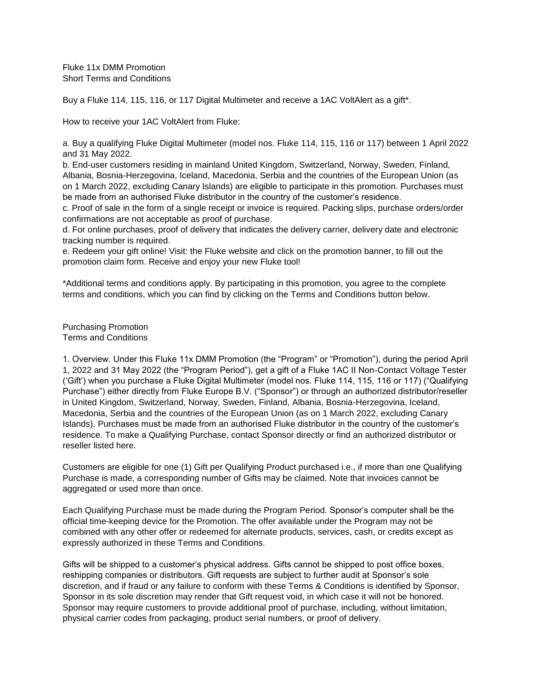Fluke 11x DMM Promotion Short Terms and Conditions

Buy a Fluke 114, 115, 116, or 117 Digital Multimeter and receive a 1AC VoltAlert as a gift\*.

How to receive your 1AC VoltAlert from Fluke:

a. Buy a qualifying Fluke Digital Multimeter (model nos. Fluke 114, 115, 116 or 117) between 1 April 2022 and 31 May 2022.

b. End-user customers residing in mainland United Kingdom, Switzerland, Norway, Sweden, Finland, Albania, Bosnia-Herzegovina, Iceland, Macedonia, Serbia and the countries of the European Union (as on 1 March 2022, excluding Canary Islands) are eligible to participate in this promotion. Purchases must be made from an authorised Fluke distributor in the country of the customer's residence.

c. Proof of sale in the form of a single receipt or invoice is required. Packing slips, purchase orders/order confirmations are not acceptable as proof of purchase.

d. For online purchases, proof of delivery that indicates the delivery carrier, delivery date and electronic tracking number is required.

e. Redeem your gift online! Visit: the Fluke website and click on the promotion banner, to fill out the promotion claim form. Receive and enjoy your new Fluke tool!

\*Additional terms and conditions apply. By participating in this promotion, you agree to the complete terms and conditions, which you can find by clicking on the Terms and Conditions button below.

Purchasing Promotion Terms and Conditions

1. Overview. Under this Fluke 11x DMM Promotion (the "Program" or "Promotion"), during the period April 1, 2022 and 31 May 2022 (the "Program Period"), get a gift of a Fluke 1AC II Non-Contact Voltage Tester ('Gift') when you purchase a Fluke Digital Multimeter (model nos. Fluke 114, 115, 116 or 117) ("Qualifying Purchase") either directly from Fluke Europe B.V. ("Sponsor") or through an authorized distributor/reseller in United Kingdom, Switzerland, Norway, Sweden, Finland, Albania, Bosnia-Herzegovina, Iceland, Macedonia, Serbia and the countries of the European Union (as on 1 March 2022, excluding Canary Islands). Purchases must be made from an authorised Fluke distributor in the country of the customer's residence. To make a Qualifying Purchase, contact Sponsor directly or find an authorized distributor or reseller listed here.

Customers are eligible for one (1) Gift per Qualifying Product purchased i.e., if more than one Qualifying Purchase is made, a corresponding number of Gifts may be claimed. Note that invoices cannot be aggregated or used more than once.

Each Qualifying Purchase must be made during the Program Period. Sponsor's computer shall be the official time-keeping device for the Promotion. The offer available under the Program may not be combined with any other offer or redeemed for alternate products, services, cash, or credits except as expressly authorized in these Terms and Conditions.

Gifts will be shipped to a customer's physical address. Gifts cannot be shipped to post office boxes, reshipping companies or distributors. Gift requests are subject to further audit at Sponsor's sole discretion, and if fraud or any failure to conform with these Terms & Conditions is identified by Sponsor, Sponsor in its sole discretion may render that Gift request void, in which case it will not be honored. Sponsor may require customers to provide additional proof of purchase, including, without limitation, physical carrier codes from packaging, product serial numbers, or proof of delivery.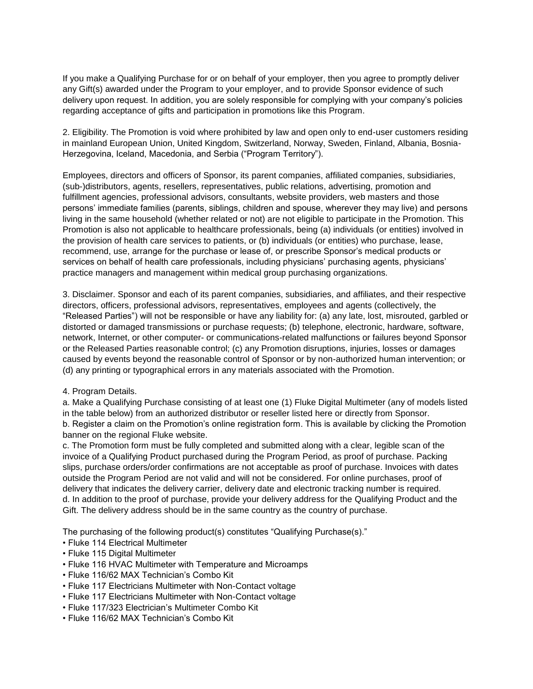If you make a Qualifying Purchase for or on behalf of your employer, then you agree to promptly deliver any Gift(s) awarded under the Program to your employer, and to provide Sponsor evidence of such delivery upon request. In addition, you are solely responsible for complying with your company's policies regarding acceptance of gifts and participation in promotions like this Program.

2. Eligibility. The Promotion is void where prohibited by law and open only to end-user customers residing in mainland European Union, United Kingdom, Switzerland, Norway, Sweden, Finland, Albania, Bosnia-Herzegovina, Iceland, Macedonia, and Serbia ("Program Territory").

Employees, directors and officers of Sponsor, its parent companies, affiliated companies, subsidiaries, (sub-)distributors, agents, resellers, representatives, public relations, advertising, promotion and fulfillment agencies, professional advisors, consultants, website providers, web masters and those persons' immediate families (parents, siblings, children and spouse, wherever they may live) and persons living in the same household (whether related or not) are not eligible to participate in the Promotion. This Promotion is also not applicable to healthcare professionals, being (a) individuals (or entities) involved in the provision of health care services to patients, or (b) individuals (or entities) who purchase, lease, recommend, use, arrange for the purchase or lease of, or prescribe Sponsor's medical products or services on behalf of health care professionals, including physicians' purchasing agents, physicians' practice managers and management within medical group purchasing organizations.

3. Disclaimer. Sponsor and each of its parent companies, subsidiaries, and affiliates, and their respective directors, officers, professional advisors, representatives, employees and agents (collectively, the "Released Parties") will not be responsible or have any liability for: (a) any late, lost, misrouted, garbled or distorted or damaged transmissions or purchase requests; (b) telephone, electronic, hardware, software, network, Internet, or other computer- or communications-related malfunctions or failures beyond Sponsor or the Released Parties reasonable control; (c) any Promotion disruptions, injuries, losses or damages caused by events beyond the reasonable control of Sponsor or by non-authorized human intervention; or (d) any printing or typographical errors in any materials associated with the Promotion.

## 4. Program Details.

a. Make a Qualifying Purchase consisting of at least one (1) Fluke Digital Multimeter (any of models listed in the table below) from an authorized distributor or reseller listed here or directly from Sponsor. b. Register a claim on the Promotion's online registration form. This is available by clicking the Promotion banner on the regional Fluke website.

c. The Promotion form must be fully completed and submitted along with a clear, legible scan of the invoice of a Qualifying Product purchased during the Program Period, as proof of purchase. Packing slips, purchase orders/order confirmations are not acceptable as proof of purchase. Invoices with dates outside the Program Period are not valid and will not be considered. For online purchases, proof of delivery that indicates the delivery carrier, delivery date and electronic tracking number is required. d. In addition to the proof of purchase, provide your delivery address for the Qualifying Product and the Gift. The delivery address should be in the same country as the country of purchase.

The purchasing of the following product(s) constitutes "Qualifying Purchase(s)."

- Fluke 114 Electrical Multimeter
- Fluke 115 Digital Multimeter
- Fluke 116 HVAC Multimeter with Temperature and Microamps
- Fluke 116/62 MAX Technician's Combo Kit
- Fluke 117 Electricians Multimeter with Non-Contact voltage
- Fluke 117 Electricians Multimeter with Non-Contact voltage
- Fluke 117/323 Electrician's Multimeter Combo Kit
- Fluke 116/62 MAX Technician's Combo Kit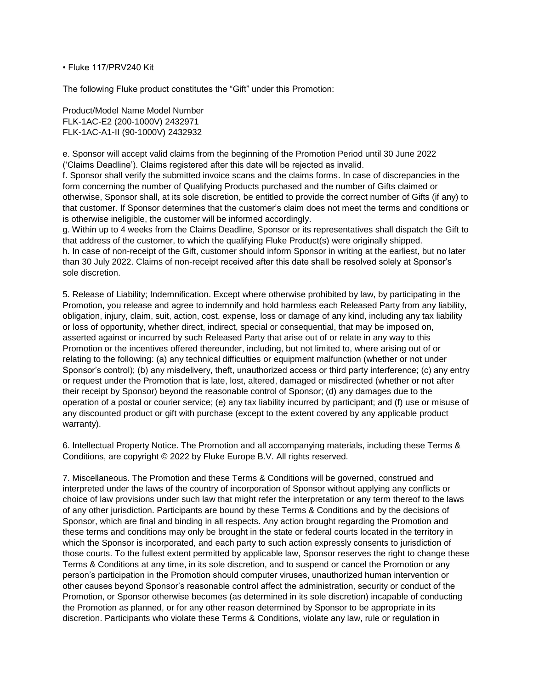## • Fluke 117/PRV240 Kit

The following Fluke product constitutes the "Gift" under this Promotion:

Product/Model Name Model Number FLK-1AC-E2 (200-1000V) 2432971 FLK-1AC-A1-II (90-1000V) 2432932

e. Sponsor will accept valid claims from the beginning of the Promotion Period until 30 June 2022 ('Claims Deadline'). Claims registered after this date will be rejected as invalid.

f. Sponsor shall verify the submitted invoice scans and the claims forms. In case of discrepancies in the form concerning the number of Qualifying Products purchased and the number of Gifts claimed or otherwise, Sponsor shall, at its sole discretion, be entitled to provide the correct number of Gifts (if any) to that customer. If Sponsor determines that the customer's claim does not meet the terms and conditions or is otherwise ineligible, the customer will be informed accordingly.

g. Within up to 4 weeks from the Claims Deadline, Sponsor or its representatives shall dispatch the Gift to that address of the customer, to which the qualifying Fluke Product(s) were originally shipped. h. In case of non-receipt of the Gift, customer should inform Sponsor in writing at the earliest, but no later than 30 July 2022. Claims of non-receipt received after this date shall be resolved solely at Sponsor's sole discretion.

5. Release of Liability; Indemnification. Except where otherwise prohibited by law, by participating in the Promotion, you release and agree to indemnify and hold harmless each Released Party from any liability, obligation, injury, claim, suit, action, cost, expense, loss or damage of any kind, including any tax liability or loss of opportunity, whether direct, indirect, special or consequential, that may be imposed on, asserted against or incurred by such Released Party that arise out of or relate in any way to this Promotion or the incentives offered thereunder, including, but not limited to, where arising out of or relating to the following: (a) any technical difficulties or equipment malfunction (whether or not under Sponsor's control); (b) any misdelivery, theft, unauthorized access or third party interference; (c) any entry or request under the Promotion that is late, lost, altered, damaged or misdirected (whether or not after their receipt by Sponsor) beyond the reasonable control of Sponsor; (d) any damages due to the operation of a postal or courier service; (e) any tax liability incurred by participant; and (f) use or misuse of any discounted product or gift with purchase (except to the extent covered by any applicable product warranty).

6. Intellectual Property Notice. The Promotion and all accompanying materials, including these Terms & Conditions, are copyright © 2022 by Fluke Europe B.V. All rights reserved.

7. Miscellaneous. The Promotion and these Terms & Conditions will be governed, construed and interpreted under the laws of the country of incorporation of Sponsor without applying any conflicts or choice of law provisions under such law that might refer the interpretation or any term thereof to the laws of any other jurisdiction. Participants are bound by these Terms & Conditions and by the decisions of Sponsor, which are final and binding in all respects. Any action brought regarding the Promotion and these terms and conditions may only be brought in the state or federal courts located in the territory in which the Sponsor is incorporated, and each party to such action expressly consents to jurisdiction of those courts. To the fullest extent permitted by applicable law, Sponsor reserves the right to change these Terms & Conditions at any time, in its sole discretion, and to suspend or cancel the Promotion or any person's participation in the Promotion should computer viruses, unauthorized human intervention or other causes beyond Sponsor's reasonable control affect the administration, security or conduct of the Promotion, or Sponsor otherwise becomes (as determined in its sole discretion) incapable of conducting the Promotion as planned, or for any other reason determined by Sponsor to be appropriate in its discretion. Participants who violate these Terms & Conditions, violate any law, rule or regulation in